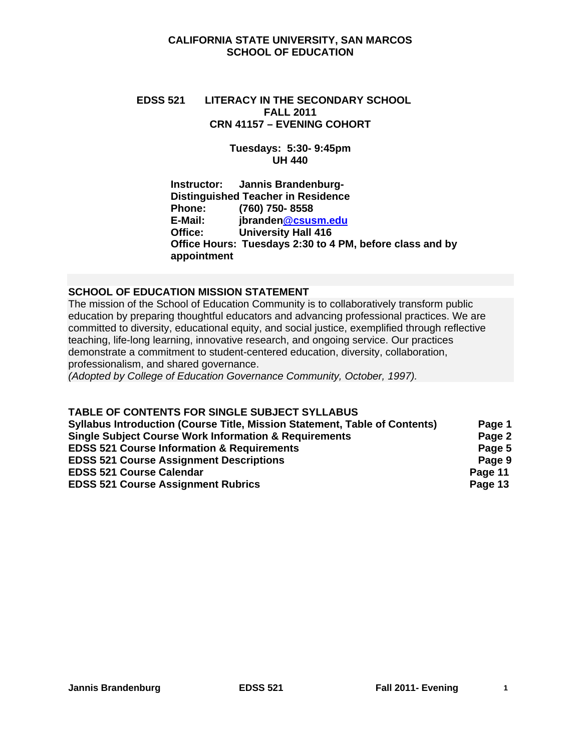#### **CALIFORNIA STATE UNIVERSITY, SAN MARCOS SCHOOL OF EDUCATION**

# **EDSS 521 LITERACY IN THE SECONDARY SCHOOL FALL 2011 CRN 41157 – EVENING COHORT**

#### **Tuesdays: 5:30- 9:45pm UH 440**

#### **Instructor: Jannis Brandenburg-Distinguished Teacher in Residence Phone:** (760) 750- 8558<br> **E-Mail: branden Cosus**<br> **Phone: Phone Phone E-Mail: jbranden@csusm.edu University Hall 416 Office Hours: Tuesdays 2:30 to 4 PM, before class and by appointment**

## **SCHOOL OF EDUCATION MISSION STATEMENT**

 professionalism, and shared governance. The mission of the School of Education Community is to collaboratively transform public education by preparing thoughtful educators and advancing professional practices. We are committed to diversity, educational equity, and social justice, exemplified through reflective teaching, life-long learning, innovative research, and ongoing service. Our practices demonstrate a commitment to student-centered education, diversity, collaboration,

*(Adopted by College of Education Governance Community, October, 1997).* 

#### **TABLE OF CONTENTS FOR SINGLE SUBJECT SYLLABUS**

| <b>Syllabus Introduction (Course Title, Mission Statement, Table of Contents)</b> | Page 1  |
|-----------------------------------------------------------------------------------|---------|
| <b>Single Subject Course Work Information &amp; Requirements</b>                  | Page 2  |
| <b>EDSS 521 Course Information &amp; Requirements</b>                             | Page 5  |
| <b>EDSS 521 Course Assignment Descriptions</b>                                    | Page 9  |
| <b>EDSS 521 Course Calendar</b>                                                   | Page 11 |
| <b>EDSS 521 Course Assignment Rubrics</b>                                         | Page 13 |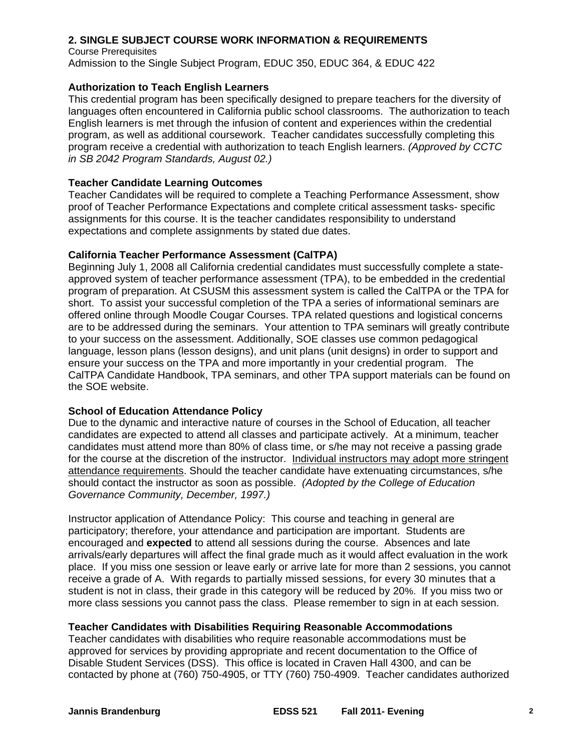#### **2. SINGLE SUBJECT COURSE WORK INFORMATION & REQUIREMENTS**

Course Prerequisites Admission to the Single Subject Program, EDUC 350, EDUC 364, & EDUC 422

#### **Authorization to Teach English Learners**

This credential program has been specifically designed to prepare teachers for the diversity of languages often encountered in California public school classrooms. The authorization to teach English learners is met through the infusion of content and experiences within the credential program, as well as additional coursework. Teacher candidates successfully completing this program receive a credential with authorization to teach English learners. *(Approved by CCTC in SB 2042 Program Standards, August 02.)* 

#### **Teacher Candidate Learning Outcomes**

Teacher Candidates will be required to complete a Teaching Performance Assessment, show proof of Teacher Performance Expectations and complete critical assessment tasks- specific assignments for this course. It is the teacher candidates responsibility to understand expectations and complete assignments by stated due dates.

#### **California Teacher Performance Assessment (CalTPA)**

Beginning July 1, 2008 all California credential candidates must successfully complete a stateapproved system of teacher performance assessment (TPA), to be embedded in the credential program of preparation. At CSUSM this assessment system is called the CalTPA or the TPA for short. To assist your successful completion of the TPA a series of informational seminars are offered online through Moodle Cougar Courses. TPA related questions and logistical concerns are to be addressed during the seminars. Your attention to TPA seminars will greatly contribute to your success on the assessment. Additionally, SOE classes use common pedagogical language, lesson plans (lesson designs), and unit plans (unit designs) in order to support and ensure your success on the TPA and more importantly in your credential program. The CalTPA Candidate Handbook, TPA seminars, and other TPA support materials can be found on the SOE website.

#### **School of Education Attendance Policy**

 *Governance Community, December, 1997.)* Due to the dynamic and interactive nature of courses in the School of Education, all teacher candidates are expected to attend all classes and participate actively. At a minimum, teacher candidates must attend more than 80% of class time, or s/he may not receive a passing grade for the course at the discretion of the instructor. Individual instructors may adopt more stringent attendance requirements. Should the teacher candidate have extenuating circumstances, s/he should contact the instructor as soon as possible. *(Adopted by the College of Education* 

 student is not in class, their grade in this category will be reduced by 20%. If you miss two or Instructor application of Attendance Policy: This course and teaching in general are participatory; therefore, your attendance and participation are important. Students are encouraged and **expected** to attend all sessions during the course. Absences and late arrivals/early departures will affect the final grade much as it would affect evaluation in the work place. If you miss one session or leave early or arrive late for more than 2 sessions, you cannot receive a grade of A. With regards to partially missed sessions, for every 30 minutes that a more class sessions you cannot pass the class. Please remember to sign in at each session.

#### **Teacher Candidates with Disabilities Requiring Reasonable Accommodations**

Teacher candidates with disabilities who require reasonable accommodations must be approved for services by providing appropriate and recent documentation to the Office of Disable Student Services (DSS). This office is located in Craven Hall 4300, and can be contacted by phone at (760) 750-4905, or TTY (760) 750-4909. Teacher candidates authorized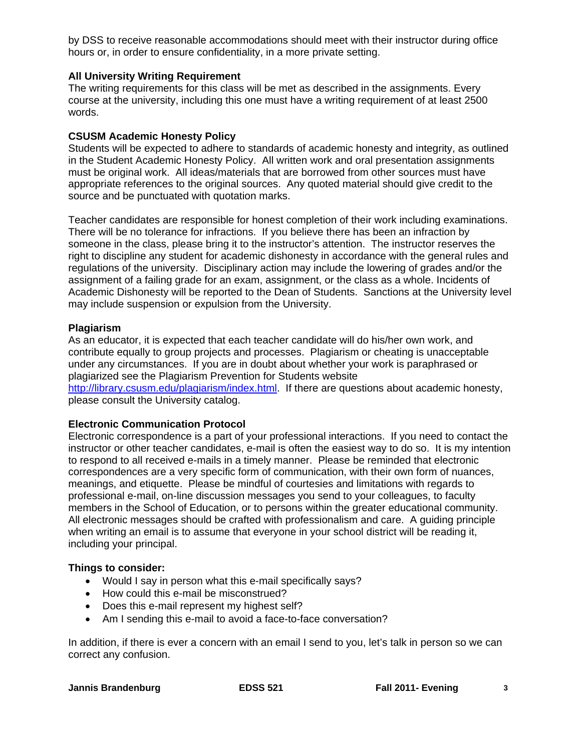by DSS to receive reasonable accommodations should meet with their instructor during office hours or, in order to ensure confidentiality, in a more private setting.

#### **All University Writing Requirement**

The writing requirements for this class will be met as described in the assignments. Every course at the university, including this one must have a writing requirement of at least 2500 words.

#### **CSUSM Academic Honesty Policy**

Students will be expected to adhere to standards of academic honesty and integrity, as outlined in the Student Academic Honesty Policy. All written work and oral presentation assignments must be original work. All ideas/materials that are borrowed from other sources must have appropriate references to the original sources. Any quoted material should give credit to the source and be punctuated with quotation marks.

Teacher candidates are responsible for honest completion of their work including examinations. There will be no tolerance for infractions. If you believe there has been an infraction by someone in the class, please bring it to the instructor's attention. The instructor reserves the right to discipline any student for academic dishonesty in accordance with the general rules and regulations of the university. Disciplinary action may include the lowering of grades and/or the assignment of a failing grade for an exam, assignment, or the class as a whole. Incidents of Academic Dishonesty will be reported to the Dean of Students. Sanctions at the University level may include suspension or expulsion from the University.

#### **Plagiarism**

As an educator, it is expected that each teacher candidate will do his/her own work, and contribute equally to group projects and processes. Plagiarism or cheating is unacceptable under any circumstances. If you are in doubt about whether your work is paraphrased or plagiarized see the Plagiarism Prevention for Students website http://library.csusm.edu/plagiarism/index.html. If there are questions about academic honesty, please consult the University catalog.

#### **Electronic Communication Protocol**

Electronic correspondence is a part of your professional interactions. If you need to contact the instructor or other teacher candidates, e-mail is often the easiest way to do so. It is my intention to respond to all received e-mails in a timely manner. Please be reminded that electronic correspondences are a very specific form of communication, with their own form of nuances, meanings, and etiquette. Please be mindful of courtesies and limitations with regards to professional e-mail, on-line discussion messages you send to your colleagues, to faculty members in the School of Education, or to persons within the greater educational community. All electronic messages should be crafted with professionalism and care. A guiding principle when writing an email is to assume that everyone in your school district will be reading it, including your principal.

#### **Things to consider:**

- Would I say in person what this e-mail specifically says?
- How could this e-mail be misconstrued?
- Does this e-mail represent my highest self?
- Am I sending this e-mail to avoid a face-to-face conversation?

In addition, if there is ever a concern with an email I send to you, let's talk in person so we can correct any confusion.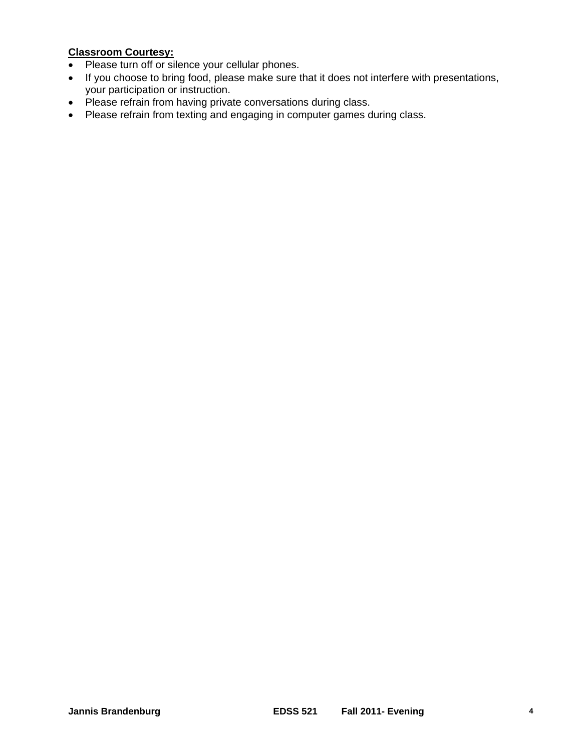## **Classroom Courtesy:**

- Please turn off or silence your cellular phones.
- If you choose to bring food, please make sure that it does not interfere with presentations, your participation or instruction.
- Please refrain from having private conversations during class.
- Please refrain from texting and engaging in computer games during class.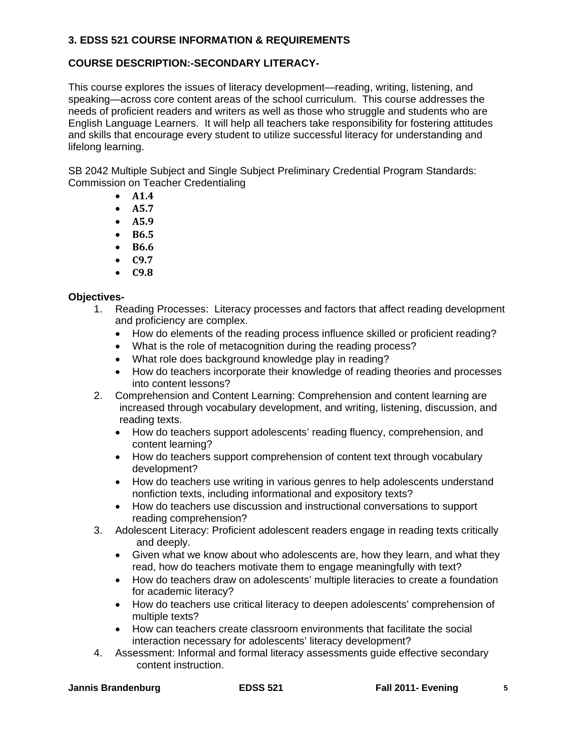### **3. EDSS 521 COURSE INFORMATION & REQUIREMENTS**

## **COURSE DESCRIPTION:-SECONDARY LITERACY-**

This course explores the issues of literacy development—reading, writing, listening, and speaking—across core content areas of the school curriculum. This course addresses the needs of proficient readers and writers as well as those who struggle and students who are English Language Learners. It will help all teachers take responsibility for fostering attitudes and skills that encourage every student to utilize successful literacy for understanding and lifelong learning.

SB 2042 Multiple Subject and Single Subject Preliminary Credential Program Standards: Commission on Teacher Credentialing

- **A1.4**
- **A5.7**
- **A5.9**
- **B6.5**
- **B6.6**
- **C9.7**
- **C9.8**

#### **Objectives-**

- 1. Reading Processes: Literacy processes and factors that affect reading development and proficiency are complex.
	- How do elements of the reading process influence skilled or proficient reading?
	- What is the role of metacognition during the reading process?
	- What role does background knowledge play in reading?
	- How do teachers incorporate their knowledge of reading theories and processes into content lessons?
- 2. Comprehension and Content Learning: Comprehension and content learning are increased through vocabulary development, and writing, listening, discussion, and reading texts.
	- How do teachers support adolescents' reading fluency, comprehension, and content learning?
	- How do teachers support comprehension of content text through vocabulary development?
	- How do teachers use writing in various genres to help adolescents understand nonfiction texts, including informational and expository texts?
	- How do teachers use discussion and instructional conversations to support reading comprehension?
- 3. Adolescent Literacy: Proficient adolescent readers engage in reading texts critically and deeply.
	- Given what we know about who adolescents are, how they learn, and what they read, how do teachers motivate them to engage meaningfully with text?
	- How do teachers draw on adolescents' multiple literacies to create a foundation for academic literacy?
	- How do teachers use critical literacy to deepen adolescents' comprehension of multiple texts?
	- How can teachers create classroom environments that facilitate the social interaction necessary for adolescents' literacy development?
- 4. Assessment: Informal and formal literacy assessments guide effective secondary content instruction.

|  | <b>Jannis Brandenburg</b> |
|--|---------------------------|
|--|---------------------------|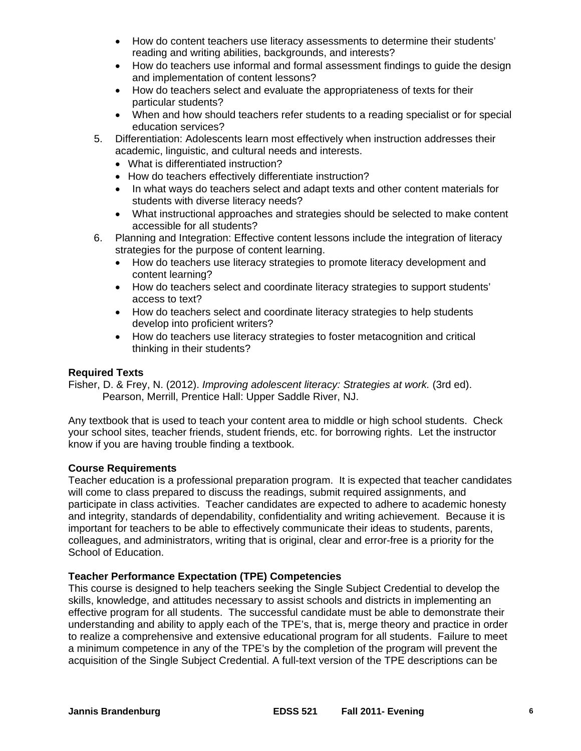- How do content teachers use literacy assessments to determine their students' reading and writing abilities, backgrounds, and interests?
- How do teachers use informal and formal assessment findings to guide the design and implementation of content lessons?
- How do teachers select and evaluate the appropriateness of texts for their particular students?
- When and how should teachers refer students to a reading specialist or for special education services?
- 5. Differentiation: Adolescents learn most effectively when instruction addresses their academic, linguistic, and cultural needs and interests.
	- What is differentiated instruction?
	- How do teachers effectively differentiate instruction?
	- In what ways do teachers select and adapt texts and other content materials for students with diverse literacy needs?
	- What instructional approaches and strategies should be selected to make content accessible for all students?
- 6. Planning and Integration: Effective content lessons include the integration of literacy strategies for the purpose of content learning.
	- How do teachers use literacy strategies to promote literacy development and content learning?
	- How do teachers select and coordinate literacy strategies to support students' access to text?
	- How do teachers select and coordinate literacy strategies to help students develop into proficient writers?
	- How do teachers use literacy strategies to foster metacognition and critical thinking in their students?

#### **Required Texts**

Fisher, D. & Frey, N. (2012). *Improving adolescent literacy: Strategies at work.* (3rd ed). Pearson, Merrill, Prentice Hall: Upper Saddle River, NJ.

Any textbook that is used to teach your content area to middle or high school students. Check your school sites, teacher friends, student friends, etc. for borrowing rights. Let the instructor know if you are having trouble finding a textbook.

#### **Course Requirements**

Teacher education is a professional preparation program. It is expected that teacher candidates will come to class prepared to discuss the readings, submit required assignments, and participate in class activities. Teacher candidates are expected to adhere to academic honesty and integrity, standards of dependability, confidentiality and writing achievement. Because it is important for teachers to be able to effectively communicate their ideas to students, parents, colleagues, and administrators, writing that is original, clear and error-free is a priority for the School of Education.

#### **Teacher Performance Expectation (TPE) Competencies**

This course is designed to help teachers seeking the Single Subject Credential to develop the skills, knowledge, and attitudes necessary to assist schools and districts in implementing an effective program for all students. The successful candidate must be able to demonstrate their understanding and ability to apply each of the TPE's, that is, merge theory and practice in order to realize a comprehensive and extensive educational program for all students. Failure to meet a minimum competence in any of the TPE's by the completion of the program will prevent the acquisition of the Single Subject Credential. A full-text version of the TPE descriptions can be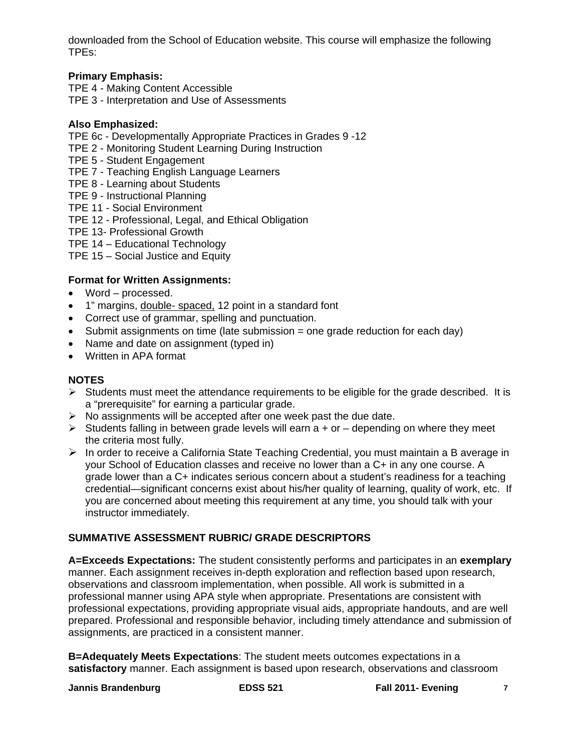downloaded from the School of Education website. This course will emphasize the following TPEs:

## **Primary Emphasis:**

- TPE 4 Making Content Accessible
- TPE 3 Interpretation and Use of Assessments

## **Also Emphasized:**

- TPE 6c Developmentally Appropriate Practices in Grades 9 -12
- TPE 2 Monitoring Student Learning During Instruction
- TPE 5 Student Engagement
- TPE 7 Teaching English Language Learners
- TPE 8 Learning about Students
- TPE 9 Instructional Planning
- TPE 11 Social Environment
- TPE 12 Professional, Legal, and Ethical Obligation
- TPE 13- Professional Growth
- TPE 14 Educational Technology
- TPE 15 Social Justice and Equity

## **Format for Written Assignments:**

- Word processed.
- 1" margins, double- spaced, 12 point in a standard font
- Correct use of grammar, spelling and punctuation.
- $\bullet$  Submit assignments on time (late submission = one grade reduction for each day)
- Name and date on assignment (typed in)
- Written in APA format

### **NOTES**

- $\triangleright$  Students must meet the attendance requirements to be eligible for the grade described. It is a "prerequisite" for earning a particular grade.
- $\triangleright$  No assignments will be accepted after one week past the due date.
- $\triangleright$  Students falling in between grade levels will earn a + or depending on where they meet the criteria most fully.
- $\triangleright$  In order to receive a California State Teaching Credential, you must maintain a B average in your School of Education classes and receive no lower than a C+ in any one course. A grade lower than a C+ indicates serious concern about a student's readiness for a teaching credential—significant concerns exist about his/her quality of learning, quality of work, etc. If you are concerned about meeting this requirement at any time, you should talk with your instructor immediately.

## **SUMMATIVE ASSESSMENT RUBRIC/ GRADE DESCRIPTORS**

**A=Exceeds Expectations:** The student consistently performs and participates in an **exemplary**  manner. Each assignment receives in-depth exploration and reflection based upon research, observations and classroom implementation, when possible. All work is submitted in a professional manner using APA style when appropriate. Presentations are consistent with professional expectations, providing appropriate visual aids, appropriate handouts, and are well prepared. Professional and responsible behavior, including timely attendance and submission of assignments, are practiced in a consistent manner.

**B=Adequately Meets Expectations**: The student meets outcomes expectations in a **satisfactory** manner. Each assignment is based upon research, observations and classroom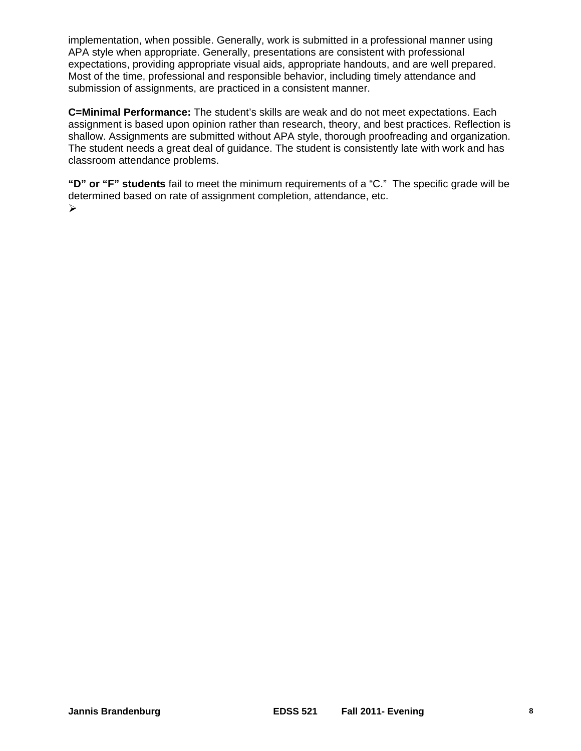implementation, when possible. Generally, work is submitted in a professional manner using APA style when appropriate. Generally, presentations are consistent with professional expectations, providing appropriate visual aids, appropriate handouts, and are well prepared. Most of the time, professional and responsible behavior, including timely attendance and submission of assignments, are practiced in a consistent manner.

**C=Minimal Performance:** The student's skills are weak and do not meet expectations. Each assignment is based upon opinion rather than research, theory, and best practices. Reflection is shallow. Assignments are submitted without APA style, thorough proofreading and organization. The student needs a great deal of guidance. The student is consistently late with work and has classroom attendance problems.

**"D" or "F" students** fail to meet the minimum requirements of a "C." The specific grade will be determined based on rate of assignment completion, attendance, etc.  $\blacktriangleright$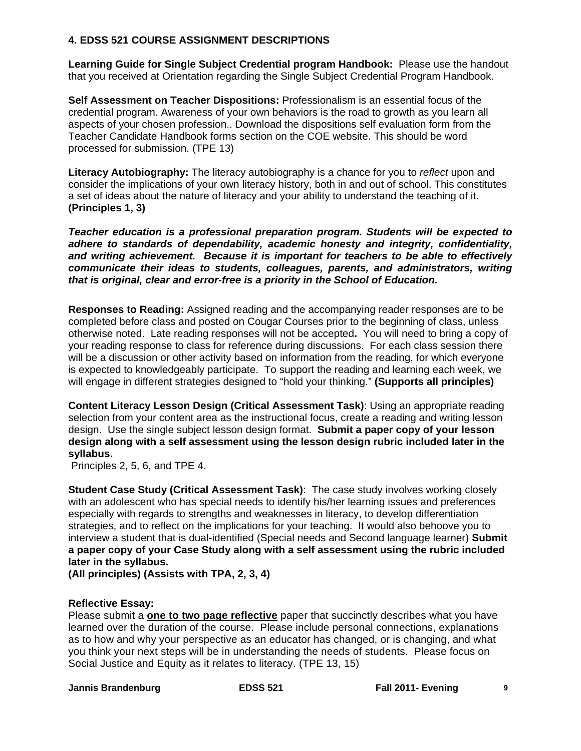#### **4. EDSS 521 COURSE ASSIGNMENT DESCRIPTIONS**

**Learning Guide for Single Subject Credential program Handbook:** Please use the handout that you received at Orientation regarding the Single Subject Credential Program Handbook.

**Self Assessment on Teacher Dispositions:** Professionalism is an essential focus of the credential program. Awareness of your own behaviors is the road to growth as you learn all aspects of your chosen profession.. Download the dispositions self evaluation form from the Teacher Candidate Handbook forms section on the COE website. This should be word processed for submission. (TPE 13)

**Literacy Autobiography:** The literacy autobiography is a chance for you to *reflect* upon and consider the implications of your own literacy history, both in and out of school. This constitutes a set of ideas about the nature of literacy and your ability to understand the teaching of it. **(Principles 1, 3)** 

*Teacher education is a professional preparation program. Students will be expected to adhere to standards of dependability, academic honesty and integrity, confidentiality, and writing achievement. Because it is important for teachers to be able to effectively communicate their ideas to students, colleagues, parents, and administrators, writing that is original, clear and error-free is a priority in the School of Education.* 

**Responses to Reading:** Assigned reading and the accompanying reader responses are to be completed before class and posted on Cougar Courses prior to the beginning of class, unless otherwise noted. Late reading responses will not be accepted**.** You will need to bring a copy of your reading response to class for reference during discussions. For each class session there will be a discussion or other activity based on information from the reading, for which everyone is expected to knowledgeably participate. To support the reading and learning each week, we will engage in different strategies designed to "hold your thinking." **(Supports all principles)** 

**Content Literacy Lesson Design (Critical Assessment Task)**: Using an appropriate reading selection from your content area as the instructional focus, create a reading and writing lesson design. Use the single subject lesson design format. **Submit a paper copy of your lesson design along with a self assessment using the lesson design rubric included later in the syllabus.** 

Principles 2, 5, 6, and TPE 4.

**Student Case Study (Critical Assessment Task)**: The case study involves working closely with an adolescent who has special needs to identify his/her learning issues and preferences especially with regards to strengths and weaknesses in literacy, to develop differentiation strategies, and to reflect on the implications for your teaching. It would also behoove you to interview a student that is dual-identified (Special needs and Second language learner) **Submit a paper copy of your Case Study along with a self assessment using the rubric included later in the syllabus.** 

**(All principles) (Assists with TPA, 2, 3, 4)** 

#### **Reflective Essay:**

 Please submit a **one to two page reflective** paper that succinctly describes what you have Social Justice and Equity as it relates to literacy. (TPE 13, 15) learned over the duration of the course. Please include personal connections, explanations as to how and why your perspective as an educator has changed, or is changing, and what you think your next steps will be in understanding the needs of students. Please focus on

 **Jannis Brandenburg EDSS 521 Fall 2011- Evening 9**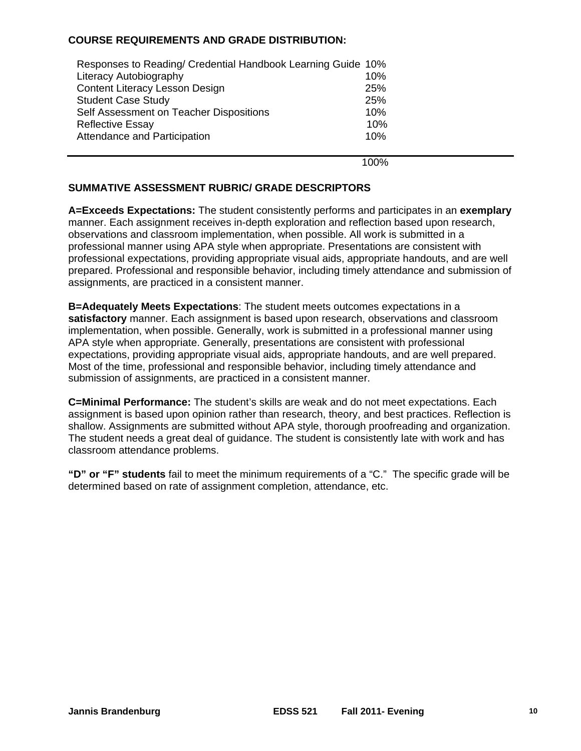#### **COURSE REQUIREMENTS AND GRADE DISTRIBUTION:**

| Responses to Reading/ Credential Handbook Learning Guide 10% |     |
|--------------------------------------------------------------|-----|
| <b>Literacy Autobiography</b>                                | 10% |
| <b>Content Literacy Lesson Design</b>                        | 25% |
| <b>Student Case Study</b>                                    | 25% |
| Self Assessment on Teacher Dispositions                      | 10% |
| <b>Reflective Essay</b>                                      | 10% |
| Attendance and Participation                                 | 10% |
|                                                              |     |

100%

#### **SUMMATIVE ASSESSMENT RUBRIC/ GRADE DESCRIPTORS**

**A=Exceeds Expectations:** The student consistently performs and participates in an **exemplary**  manner. Each assignment receives in-depth exploration and reflection based upon research, observations and classroom implementation, when possible. All work is submitted in a professional manner using APA style when appropriate. Presentations are consistent with professional expectations, providing appropriate visual aids, appropriate handouts, and are well prepared. Professional and responsible behavior, including timely attendance and submission of assignments, are practiced in a consistent manner.

**B=Adequately Meets Expectations**: The student meets outcomes expectations in a **satisfactory** manner. Each assignment is based upon research, observations and classroom implementation, when possible. Generally, work is submitted in a professional manner using APA style when appropriate. Generally, presentations are consistent with professional expectations, providing appropriate visual aids, appropriate handouts, and are well prepared. Most of the time, professional and responsible behavior, including timely attendance and submission of assignments, are practiced in a consistent manner.

**C=Minimal Performance:** The student's skills are weak and do not meet expectations. Each assignment is based upon opinion rather than research, theory, and best practices. Reflection is shallow. Assignments are submitted without APA style, thorough proofreading and organization. The student needs a great deal of guidance. The student is consistently late with work and has classroom attendance problems.

**"D" or "F" students** fail to meet the minimum requirements of a "C." The specific grade will be determined based on rate of assignment completion, attendance, etc.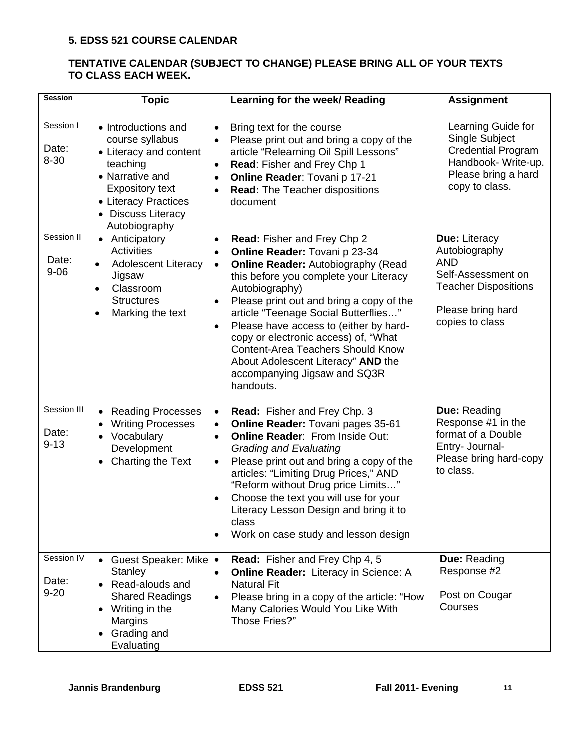#### **5. EDSS 521 COURSE CALENDAR**

#### **TENTATIVE CALENDAR (SUBJECT TO CHANGE) PLEASE BRING ALL OF YOUR TEXTS TO CLASS EACH WEEK.**

| <b>Session</b>                   | <b>Topic</b>                                                                                                                                                                             | Learning for the week/ Reading                                                                                                                                                                                                                                                                                                                                                                                                                                                                                                 | <b>Assignment</b>                                                                                                                         |
|----------------------------------|------------------------------------------------------------------------------------------------------------------------------------------------------------------------------------------|--------------------------------------------------------------------------------------------------------------------------------------------------------------------------------------------------------------------------------------------------------------------------------------------------------------------------------------------------------------------------------------------------------------------------------------------------------------------------------------------------------------------------------|-------------------------------------------------------------------------------------------------------------------------------------------|
| Session I<br>Date:<br>$8 - 30$   | • Introductions and<br>course syllabus<br>• Literacy and content<br>teaching<br>• Narrative and<br><b>Expository text</b><br>• Literacy Practices<br>• Discuss Literacy<br>Autobiography | Bring text for the course<br>$\bullet$<br>Please print out and bring a copy of the<br>article "Relearning Oil Spill Lessons"<br>Read: Fisher and Frey Chp 1<br>$\bullet$<br>Online Reader: Tovani p 17-21<br>$\bullet$<br><b>Read: The Teacher dispositions</b><br>$\bullet$<br>document                                                                                                                                                                                                                                       | Learning Guide for<br>Single Subject<br><b>Credential Program</b><br>Handbook- Write-up.<br>Please bring a hard<br>copy to class.         |
| Session II<br>Date:<br>$9 - 06$  | Anticipatory<br>$\bullet$<br><b>Activities</b><br><b>Adolescent Literacy</b><br>$\bullet$<br>Jigsaw<br>Classroom<br>$\bullet$<br><b>Structures</b><br>Marking the text<br>$\bullet$      | Read: Fisher and Frey Chp 2<br>$\bullet$<br>Online Reader: Tovani p 23-34<br>$\bullet$<br><b>Online Reader: Autobiography (Read</b><br>$\bullet$<br>this before you complete your Literacy<br>Autobiography)<br>Please print out and bring a copy of the<br>article "Teenage Social Butterflies"<br>Please have access to (either by hard-<br>$\bullet$<br>copy or electronic access) of, "What<br><b>Content-Area Teachers Should Know</b><br>About Adolescent Literacy" AND the<br>accompanying Jigsaw and SQ3R<br>handouts. | Due: Literacy<br>Autobiography<br><b>AND</b><br>Self-Assessment on<br><b>Teacher Dispositions</b><br>Please bring hard<br>copies to class |
| Session III<br>Date:<br>$9 - 13$ | <b>Reading Processes</b><br>$\bullet$<br><b>Writing Processes</b><br>$\bullet$<br>Vocabulary<br>$\bullet$<br>Development<br>Charting the Text                                            | Read: Fisher and Frey Chp. 3<br>$\bullet$<br>Online Reader: Tovani pages 35-61<br>$\bullet$<br><b>Online Reader: From Inside Out:</b><br>$\bullet$<br><b>Grading and Evaluating</b><br>Please print out and bring a copy of the<br>$\bullet$<br>articles: "Limiting Drug Prices," AND<br>"Reform without Drug price Limits"<br>Choose the text you will use for your<br>Literacy Lesson Design and bring it to<br>class<br>Work on case study and lesson design                                                                | Due: Reading<br>Response #1 in the<br>format of a Double<br>Entry- Journal-<br>Please bring hard-copy<br>to class.                        |
| Session IV<br>Date:<br>$9 - 20$  | Guest Speaker: Mike<br>$\bullet$<br><b>Stanley</b><br>• Read-alouds and<br><b>Shared Readings</b><br>Writing in the<br>Margins<br>Grading and<br>Evaluating                              | <b>Read:</b> Fisher and Frey Chp 4, 5<br><b>Online Reader:</b> Literacy in Science: A<br>$\bullet$<br><b>Natural Fit</b><br>Please bring in a copy of the article: "How<br>Many Calories Would You Like With<br>Those Fries?"                                                                                                                                                                                                                                                                                                  | <b>Due: Reading</b><br>Response #2<br>Post on Cougar<br>Courses                                                                           |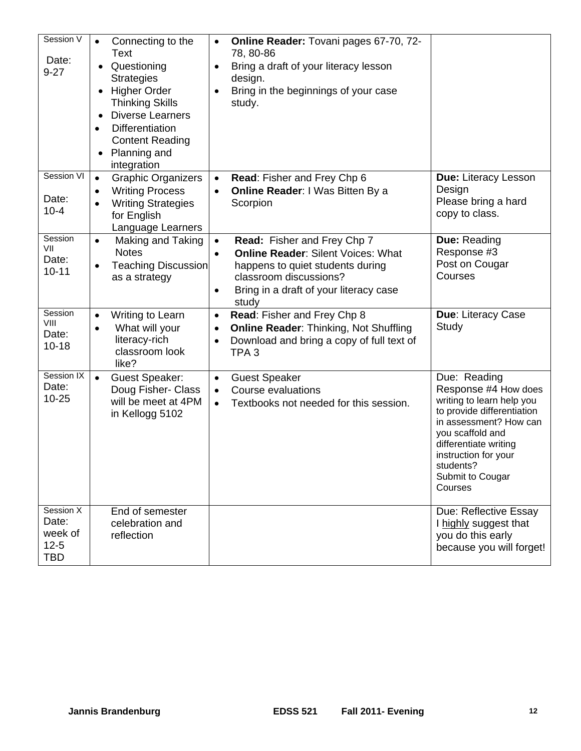| Session V<br>Date:<br>$9 - 27$                          | Connecting to the<br>$\bullet$<br>Text<br>Questioning<br><b>Strategies</b><br><b>Higher Order</b><br>$\bullet$<br><b>Thinking Skills</b><br><b>Diverse Learners</b><br>$\bullet$<br><b>Differentiation</b><br>$\bullet$<br><b>Content Reading</b><br>Planning and<br>integration | Online Reader: Tovani pages 67-70, 72-<br>$\bullet$<br>78, 80-86<br>Bring a draft of your literacy lesson<br>$\bullet$<br>design.<br>Bring in the beginnings of your case<br>$\bullet$<br>study.                                 |                                                                                                                                                                                                                                            |
|---------------------------------------------------------|----------------------------------------------------------------------------------------------------------------------------------------------------------------------------------------------------------------------------------------------------------------------------------|----------------------------------------------------------------------------------------------------------------------------------------------------------------------------------------------------------------------------------|--------------------------------------------------------------------------------------------------------------------------------------------------------------------------------------------------------------------------------------------|
| Session VI<br>Date:<br>$10 - 4$                         | <b>Graphic Organizers</b><br>$\bullet$<br><b>Writing Process</b><br>٠<br><b>Writing Strategies</b><br>$\bullet$<br>for English<br>Language Learners                                                                                                                              | Read: Fisher and Frey Chp 6<br>$\bullet$<br><b>Online Reader: I Was Bitten By a</b><br>$\bullet$<br>Scorpion                                                                                                                     | Due: Literacy Lesson<br>Design<br>Please bring a hard<br>copy to class.                                                                                                                                                                    |
| Session<br>VII<br>Date:<br>$10 - 11$                    | Making and Taking<br>$\bullet$<br><b>Notes</b><br><b>Teaching Discussion</b><br>$\bullet$<br>as a strategy                                                                                                                                                                       | Read: Fisher and Frey Chp 7<br>$\bullet$<br><b>Online Reader: Silent Voices: What</b><br>$\bullet$<br>happens to quiet students during<br>classroom discussions?<br>Bring in a draft of your literacy case<br>$\bullet$<br>study | Due: Reading<br>Response #3<br>Post on Cougar<br>Courses                                                                                                                                                                                   |
| Session<br>VIII<br>Date:<br>$10 - 18$                   | Writing to Learn<br>$\bullet$<br>What will your<br>$\bullet$<br>literacy-rich<br>classroom look<br>like?                                                                                                                                                                         | Read: Fisher and Frey Chp 8<br>$\bullet$<br><b>Online Reader: Thinking, Not Shuffling</b><br>$\bullet$<br>Download and bring a copy of full text of<br>$\bullet$<br>TPA <sub>3</sub>                                             | Due: Literacy Case<br>Study                                                                                                                                                                                                                |
| Session IX<br>Date:<br>$10 - 25$                        | $\bullet$<br><b>Guest Speaker:</b><br>Doug Fisher- Class<br>will be meet at 4PM<br>in Kellogg 5102                                                                                                                                                                               | <b>Guest Speaker</b><br>$\bullet$<br><b>Course evaluations</b><br>$\bullet$<br>Textbooks not needed for this session.<br>$\bullet$                                                                                               | Due: Reading<br>Response #4 How does<br>writing to learn help you<br>to provide differentiation<br>in assessment? How can<br>you scaffold and<br>differentiate writing<br>instruction for your<br>students?<br>Submit to Cougar<br>Courses |
| Session X<br>Date:<br>week of<br>$12 - 5$<br><b>TBD</b> | End of semester<br>celebration and<br>reflection                                                                                                                                                                                                                                 |                                                                                                                                                                                                                                  | Due: Reflective Essay<br>I highly suggest that<br>you do this early<br>because you will forget!                                                                                                                                            |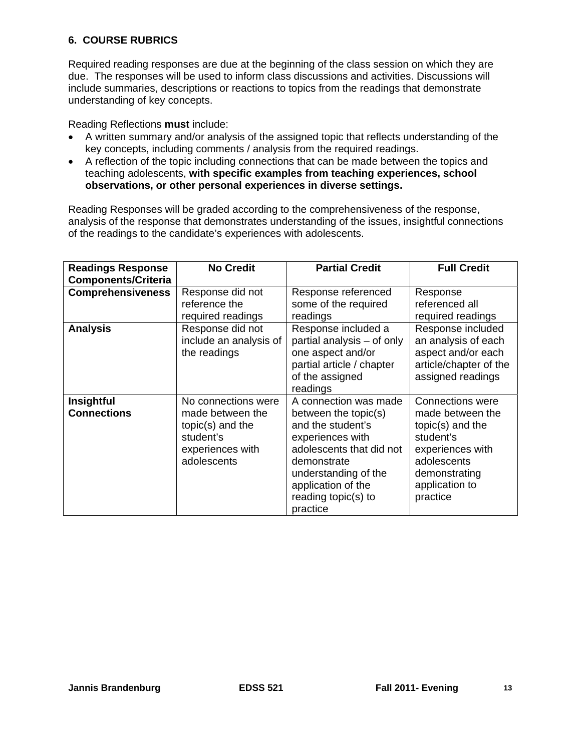## **6. COURSE RUBRICS**

Required reading responses are due at the beginning of the class session on which they are due. The responses will be used to inform class discussions and activities. Discussions will include summaries, descriptions or reactions to topics from the readings that demonstrate understanding of key concepts.

Reading Reflections **must** include:

- key concepts, including comments / analysis from the required readings. A written summary and/or analysis of the assigned topic that reflects understanding of the
- A reflection of the topic including connections that can be made between the topics and teaching adolescents, **with specific examples from teaching experiences, school observations, or other personal experiences in diverse settings.**

Reading Responses will be graded according to the comprehensiveness of the response, analysis of the response that demonstrates understanding of the issues, insightful connections of the readings to the candidate's experiences with adolescents.

| <b>Readings Response</b><br><b>Components/Criteria</b> | <b>No Credit</b>                                                                                              | <b>Partial Credit</b>                                                                                                                                                                                              | <b>Full Credit</b>                                                                                                                                             |
|--------------------------------------------------------|---------------------------------------------------------------------------------------------------------------|--------------------------------------------------------------------------------------------------------------------------------------------------------------------------------------------------------------------|----------------------------------------------------------------------------------------------------------------------------------------------------------------|
| <b>Comprehensiveness</b>                               | Response did not<br>reference the<br>required readings                                                        | Response referenced<br>some of the required<br>readings                                                                                                                                                            | Response<br>referenced all<br>required readings                                                                                                                |
| <b>Analysis</b>                                        | Response did not<br>include an analysis of<br>the readings                                                    | Response included a<br>partial analysis - of only<br>one aspect and/or<br>partial article / chapter<br>of the assigned<br>readings                                                                                 | Response included<br>an analysis of each<br>aspect and/or each<br>article/chapter of the<br>assigned readings                                                  |
| Insightful<br><b>Connections</b>                       | No connections were<br>made between the<br>$topic(s)$ and the<br>student's<br>experiences with<br>adolescents | A connection was made<br>between the topic(s)<br>and the student's<br>experiences with<br>adolescents that did not<br>demonstrate<br>understanding of the<br>application of the<br>reading topic(s) to<br>practice | <b>Connections were</b><br>made between the<br>topic(s) and the<br>student's<br>experiences with<br>adolescents<br>demonstrating<br>application to<br>practice |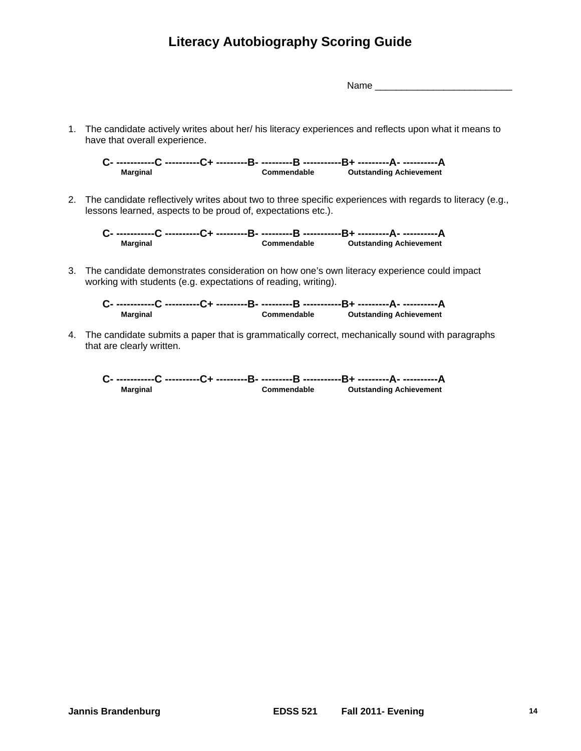## **Literacy Autobiography Scoring Guide**

Name \_\_\_\_\_\_\_\_\_\_\_\_\_\_\_\_\_\_\_\_\_\_\_\_\_\_

1. The candidate actively writes about her/ his literacy experiences and reflects upon what it means to have that overall experience.

**C- -----------C ----------C+ ---------B- ---------B -----------B+ ---------A- ----------A Marginal Commendable Outstanding Achievement** 

2. The candidate reflectively writes about two to three specific experiences with regards to literacy (e.g., lessons learned, aspects to be proud of, expectations etc.).

**C- -----------C ----------C+ ---------B- ---------B -----------B+ ---------A- ----------A Marginal Commendable Outstanding Achievement** 

3. The candidate demonstrates consideration on how one's own literacy experience could impact working with students (e.g. expectations of reading, writing).

**C- -----------C ----------C+ ---------B- ---------B -----------B+ ---------A- ----------A Marginal Commendable Outstanding Achievement** 

4. The candidate submits a paper that is grammatically correct, mechanically sound with paragraphs that are clearly written.

**C- -----------C ----------C+ ---------B- ---------B -----------B+ ---------A- ----------A Marginal Commendable Outstanding Achievement**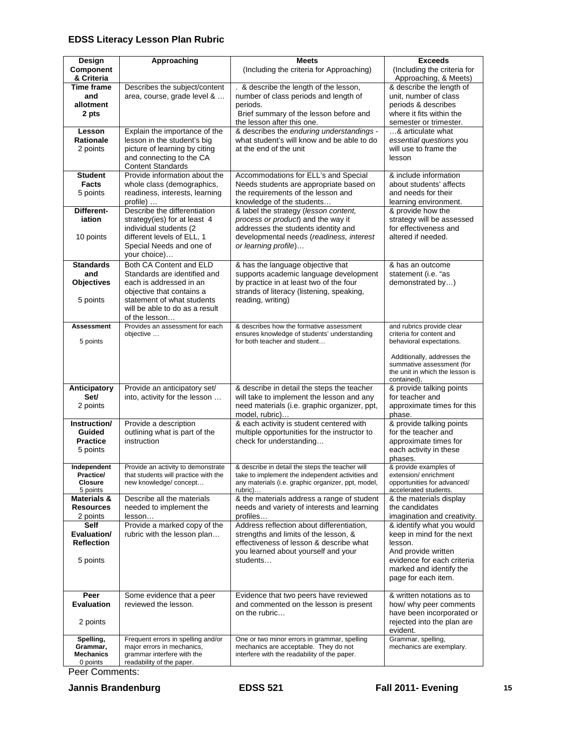## **EDSS Literacy Lesson Plan Rubric**

| Design                                     | Approaching                                                                                      | <b>Meets</b>                                                                                                | <b>Exceeds</b>                                                                                             |
|--------------------------------------------|--------------------------------------------------------------------------------------------------|-------------------------------------------------------------------------------------------------------------|------------------------------------------------------------------------------------------------------------|
| Component<br>& Criteria                    |                                                                                                  | (Including the criteria for Approaching)                                                                    | (Including the criteria for<br>Approaching, & Meets)                                                       |
| <b>Time frame</b><br>and<br>allotment      | Describes the subject/content<br>area, course, grade level &                                     | . & describe the length of the lesson,<br>number of class periods and length of<br>periods.                 | & describe the length of<br>unit, number of class<br>periods & describes                                   |
| 2 pts                                      |                                                                                                  | Brief summary of the lesson before and<br>the lesson after this one.                                        | where it fits within the<br>semester or trimester.                                                         |
| Lesson                                     | Explain the importance of the                                                                    | & describes the enduring understandings -                                                                   | & articulate what                                                                                          |
| <b>Rationale</b><br>2 points               | lesson in the student's big<br>picture of learning by citing                                     | what student's will know and be able to do<br>at the end of the unit                                        | essential questions you<br>will use to frame the                                                           |
|                                            | and connecting to the CA<br><b>Content Standards</b>                                             |                                                                                                             | lesson                                                                                                     |
| <b>Student</b>                             | Provide information about the                                                                    | Accommodations for ELL's and Special                                                                        | & include information                                                                                      |
| <b>Facts</b><br>5 points                   | whole class (demographics,<br>readiness, interests, learning<br>profile)                         | Needs students are appropriate based on<br>the requirements of the lesson and<br>knowledge of the students  | about students' affects<br>and needs for their<br>learning environment.                                    |
| Different-                                 | Describe the differentiation                                                                     | & label the strategy (lesson content,                                                                       | & provide how the                                                                                          |
| iation                                     | strategy(ies) for at least 4                                                                     | process or product) and the way it                                                                          | strategy will be assessed                                                                                  |
| 10 points                                  | individual students (2<br>different levels of ELL, 1<br>Special Needs and one of<br>your choice) | addresses the students identity and<br>developmental needs (readiness, interest<br>or learning profile)     | for effectiveness and<br>altered if needed.                                                                |
| <b>Standards</b>                           | Both CA Content and ELD                                                                          | & has the language objective that                                                                           | & has an outcome                                                                                           |
| and                                        | Standards are identified and                                                                     | supports academic language development                                                                      | statement (i.e. "as                                                                                        |
| <b>Objectives</b>                          | each is addressed in an<br>objective that contains a                                             | by practice in at least two of the four<br>strands of literacy (listening, speaking,                        | demonstrated by)                                                                                           |
| 5 points                                   | statement of what students<br>will be able to do as a result<br>of the lesson                    | reading, writing)                                                                                           |                                                                                                            |
| Assessment                                 | Provides an assessment for each                                                                  | & describes how the formative assessment                                                                    | and rubrics provide clear                                                                                  |
| 5 points                                   | objective                                                                                        | ensures knowledge of students' understanding<br>for both teacher and student                                | criteria for content and<br>behavioral expectations.                                                       |
|                                            |                                                                                                  |                                                                                                             | Additionally, addresses the<br>summative assessment (for<br>the unit in which the lesson is<br>contained), |
| Anticipatory                               | Provide an anticipatory set/                                                                     | & describe in detail the steps the teacher                                                                  | & provide talking points                                                                                   |
| Set/<br>2 points                           | into, activity for the lesson                                                                    | will take to implement the lesson and any<br>need materials (i.e. graphic organizer, ppt,<br>model, rubric) | for teacher and<br>approximate times for this<br>phase.                                                    |
| Instruction/                               | Provide a description                                                                            | & each activity is student centered with                                                                    | & provide talking points                                                                                   |
| Guided<br><b>Practice</b>                  | outlining what is part of the<br>instruction                                                     | multiple opportunities for the instructor to<br>check for understanding                                     | for the teacher and<br>approximate times for                                                               |
| 5 points                                   |                                                                                                  |                                                                                                             | each activity in these                                                                                     |
|                                            |                                                                                                  |                                                                                                             | phases.                                                                                                    |
| Independent                                | Provide an activity to demonstrate                                                               | & describe in detail the steps the teacher will                                                             | & provide examples of                                                                                      |
| Practice/<br><b>Closure</b>                | that students will practice with the<br>new knowledge/concept                                    | take to implement the independent activities and<br>any materials (i.e. graphic organizer, ppt, model,      | extension/enrichment<br>opportunities for advanced/                                                        |
| 5 points                                   |                                                                                                  | rubric)                                                                                                     | accelerated students.                                                                                      |
| <b>Materials &amp;</b><br><b>Resources</b> | Describe all the materials<br>needed to implement the                                            | & the materials address a range of student<br>needs and variety of interests and learning                   | & the materials display<br>the candidates                                                                  |
| 2 points                                   | lesson                                                                                           | profiles                                                                                                    | imagination and creativity.                                                                                |
| Self                                       | Provide a marked copy of the                                                                     | Address reflection about differentiation,                                                                   | & identify what you would                                                                                  |
| Evaluation/<br><b>Reflection</b>           | rubric with the lesson plan                                                                      | strengths and limits of the lesson, &                                                                       | keep in mind for the next                                                                                  |
|                                            |                                                                                                  | effectiveness of lesson & describe what<br>you learned about yourself and your                              | lesson.<br>And provide written                                                                             |
| 5 points                                   |                                                                                                  | students                                                                                                    | evidence for each criteria                                                                                 |
|                                            |                                                                                                  |                                                                                                             | marked and identify the                                                                                    |
|                                            |                                                                                                  |                                                                                                             | page for each item.                                                                                        |
| Peer                                       | Some evidence that a peer                                                                        | Evidence that two peers have reviewed                                                                       | & written notations as to                                                                                  |
| <b>Evaluation</b>                          | reviewed the lesson.                                                                             | and commented on the lesson is present<br>on the rubric                                                     | how/ why peer comments<br>have been incorporated or                                                        |
| 2 points                                   |                                                                                                  |                                                                                                             | rejected into the plan are<br>evident.                                                                     |
| Spelling,                                  | Frequent errors in spelling and/or                                                               | One or two minor errors in grammar, spelling                                                                | Grammar, spelling,                                                                                         |
| Grammar,<br><b>Mechanics</b>               | major errors in mechanics,<br>grammar interfere with the                                         | mechanics are acceptable. They do not<br>interfere with the readability of the paper.                       | mechanics are exemplary.                                                                                   |
| 0 points                                   | readability of the paper.                                                                        |                                                                                                             |                                                                                                            |
| Peer Comments:                             |                                                                                                  |                                                                                                             |                                                                                                            |

 **Jannis Brandenburg EDSS 521 Fall 2011- Evening 15**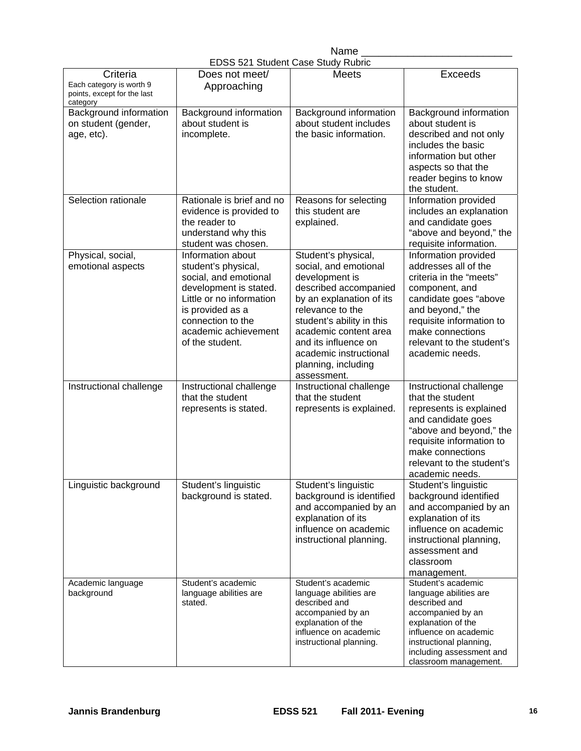| Name                               |
|------------------------------------|
| EDSS 521 Student Case Study Rubric |

|                                                                                 |                                                                                                                                                                                                             | LDOO JET ORGUEIR OASE ORGUEI KUDIK                                                                                                                                                                                                                                                    |                                                                                                                                                                                                                                        |
|---------------------------------------------------------------------------------|-------------------------------------------------------------------------------------------------------------------------------------------------------------------------------------------------------------|---------------------------------------------------------------------------------------------------------------------------------------------------------------------------------------------------------------------------------------------------------------------------------------|----------------------------------------------------------------------------------------------------------------------------------------------------------------------------------------------------------------------------------------|
| Criteria<br>Each category is worth 9<br>points, except for the last<br>category | Does not meet/<br>Approaching                                                                                                                                                                               | Meets                                                                                                                                                                                                                                                                                 | Exceeds                                                                                                                                                                                                                                |
| Background information<br>on student (gender,<br>age, etc).                     | Background information<br>about student is<br>incomplete.                                                                                                                                                   | Background information<br>about student includes<br>the basic information.                                                                                                                                                                                                            | Background information<br>about student is<br>described and not only<br>includes the basic<br>information but other<br>aspects so that the<br>reader begins to know<br>the student.                                                    |
| Selection rationale                                                             | Rationale is brief and no<br>evidence is provided to<br>the reader to<br>understand why this<br>student was chosen.                                                                                         | Reasons for selecting<br>this student are<br>explained.                                                                                                                                                                                                                               | Information provided<br>includes an explanation<br>and candidate goes<br>"above and beyond," the<br>requisite information.                                                                                                             |
| Physical, social,<br>emotional aspects                                          | Information about<br>student's physical,<br>social, and emotional<br>development is stated.<br>Little or no information<br>is provided as a<br>connection to the<br>academic achievement<br>of the student. | Student's physical,<br>social, and emotional<br>development is<br>described accompanied<br>by an explanation of its<br>relevance to the<br>student's ability in this<br>academic content area<br>and its influence on<br>academic instructional<br>planning, including<br>assessment. | Information provided<br>addresses all of the<br>criteria in the "meets"<br>component, and<br>candidate goes "above<br>and beyond," the<br>requisite information to<br>make connections<br>relevant to the student's<br>academic needs. |
| Instructional challenge                                                         | Instructional challenge<br>that the student<br>represents is stated.                                                                                                                                        | Instructional challenge<br>that the student<br>represents is explained.                                                                                                                                                                                                               | Instructional challenge<br>that the student<br>represents is explained<br>and candidate goes<br>"above and beyond," the<br>requisite information to<br>make connections<br>relevant to the student's<br>academic needs.                |
| Linguistic background                                                           | Student's linguistic<br>background is stated.                                                                                                                                                               | Student's linguistic<br>background is identified<br>and accompanied by an<br>explanation of its<br>influence on academic<br>instructional planning.                                                                                                                                   | Student's linguistic<br>background identified<br>and accompanied by an<br>explanation of its<br>influence on academic<br>instructional planning,<br>assessment and<br>classroom<br>management.                                         |
| Academic language<br>background                                                 | Student's academic<br>language abilities are<br>stated.                                                                                                                                                     | Student's academic<br>language abilities are<br>described and<br>accompanied by an<br>explanation of the<br>influence on academic<br>instructional planning.                                                                                                                          | Student's academic<br>language abilities are<br>described and<br>accompanied by an<br>explanation of the<br>influence on academic<br>instructional planning,<br>including assessment and<br>classroom management.                      |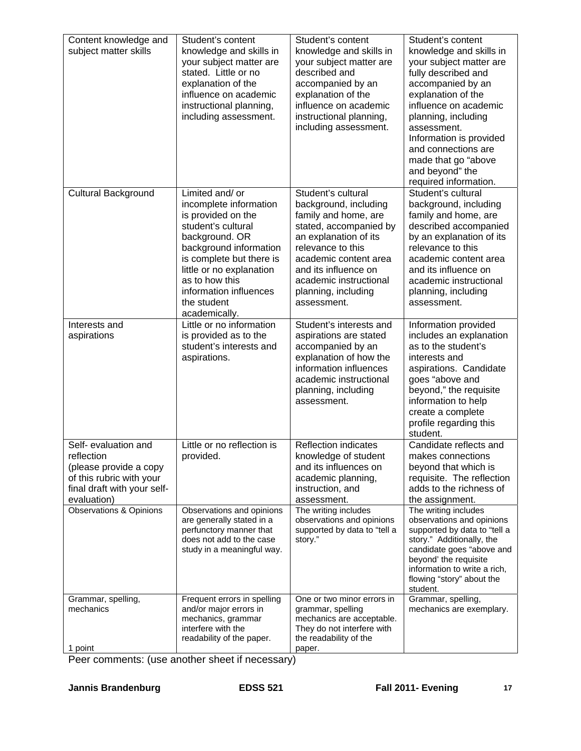| Content knowledge and<br>subject matter skills                                                                                         | Student's content<br>knowledge and skills in<br>your subject matter are<br>stated. Little or no<br>explanation of the<br>influence on academic<br>instructional planning,<br>including assessment.                                                                    | Student's content<br>knowledge and skills in<br>your subject matter are<br>described and<br>accompanied by an<br>explanation of the<br>influence on academic<br>instructional planning,<br>including assessment.                                             | Student's content<br>knowledge and skills in<br>your subject matter are<br>fully described and<br>accompanied by an<br>explanation of the<br>influence on academic<br>planning, including<br>assessment.<br>Information is provided<br>and connections are<br>made that go "above<br>and beyond" the<br>required information. |
|----------------------------------------------------------------------------------------------------------------------------------------|-----------------------------------------------------------------------------------------------------------------------------------------------------------------------------------------------------------------------------------------------------------------------|--------------------------------------------------------------------------------------------------------------------------------------------------------------------------------------------------------------------------------------------------------------|-------------------------------------------------------------------------------------------------------------------------------------------------------------------------------------------------------------------------------------------------------------------------------------------------------------------------------|
| <b>Cultural Background</b>                                                                                                             | Limited and/ or<br>incomplete information<br>is provided on the<br>student's cultural<br>background. OR<br>background information<br>is complete but there is<br>little or no explanation<br>as to how this<br>information influences<br>the student<br>academically. | Student's cultural<br>background, including<br>family and home, are<br>stated, accompanied by<br>an explanation of its<br>relevance to this<br>academic content area<br>and its influence on<br>academic instructional<br>planning, including<br>assessment. | Student's cultural<br>background, including<br>family and home, are<br>described accompanied<br>by an explanation of its<br>relevance to this<br>academic content area<br>and its influence on<br>academic instructional<br>planning, including<br>assessment.                                                                |
| Interests and<br>aspirations                                                                                                           | Little or no information<br>is provided as to the<br>student's interests and<br>aspirations.                                                                                                                                                                          | Student's interests and<br>aspirations are stated<br>accompanied by an<br>explanation of how the<br>information influences<br>academic instructional<br>planning, including<br>assessment.                                                                   | Information provided<br>includes an explanation<br>as to the student's<br>interests and<br>aspirations. Candidate<br>goes "above and<br>beyond," the requisite<br>information to help<br>create a complete<br>profile regarding this<br>student.                                                                              |
| Self- evaluation and<br>reflection<br>(please provide a copy<br>of this rubric with your<br>final draft with your self-<br>evaluation) | Little or no reflection is<br>provided.                                                                                                                                                                                                                               | <b>Reflection indicates</b><br>knowledge of student<br>and its influences on<br>academic planning,<br>instruction, and<br>assessment.                                                                                                                        | Candidate reflects and<br>makes connections<br>beyond that which is<br>requisite. The reflection<br>adds to the richness of<br>the assignment.                                                                                                                                                                                |
| <b>Observations &amp; Opinions</b>                                                                                                     | Observations and opinions<br>are generally stated in a<br>perfunctory manner that<br>does not add to the case<br>study in a meaningful way.                                                                                                                           | The writing includes<br>observations and opinions<br>supported by data to "tell a<br>story."                                                                                                                                                                 | The writing includes<br>observations and opinions<br>supported by data to "tell a<br>story." Additionally, the<br>candidate goes "above and<br>beyond' the requisite<br>information to write a rich,<br>flowing "story" about the<br>student.                                                                                 |
| Grammar, spelling,<br>mechanics<br>1 point                                                                                             | Frequent errors in spelling<br>and/or major errors in<br>mechanics, grammar<br>interfere with the<br>readability of the paper.                                                                                                                                        | One or two minor errors in<br>grammar, spelling<br>mechanics are acceptable.<br>They do not interfere with<br>the readability of the<br>paper.                                                                                                               | Grammar, spelling,<br>mechanics are exemplary.                                                                                                                                                                                                                                                                                |

Peer comments: (use another sheet if necessary)